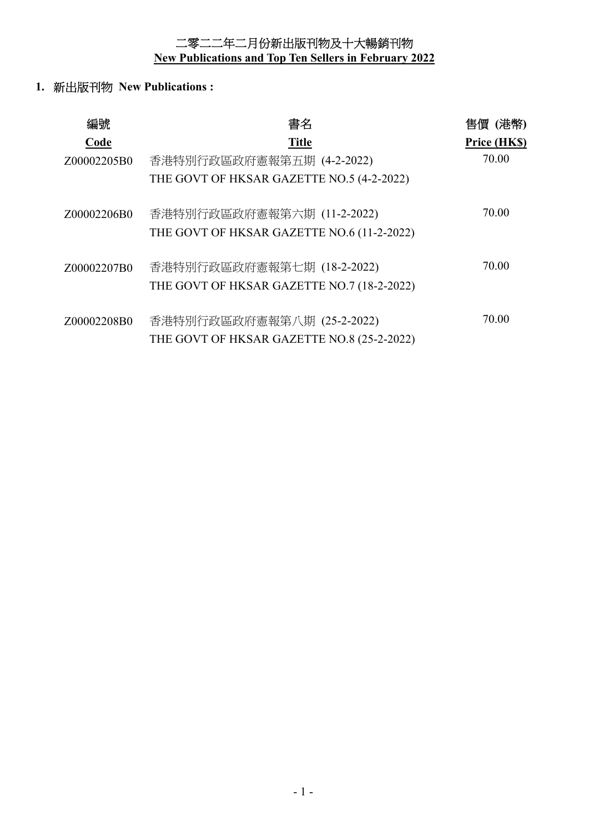二零二二年二月份新出版刊物及十大暢銷刊物 **New Publications and Top Ten Sellers in February 2022** 

**1.** 新出版刊物 **New Publications :** 

| 編號          | 書名                                         | 售價 (港幣)      |
|-------------|--------------------------------------------|--------------|
| Code        | <b>Title</b>                               | Price (HK\$) |
| Z00002205B0 | 香港特別行政區政府憲報第五期 (4-2-2022)                  | 70.00        |
|             | THE GOVT OF HKSAR GAZETTE NO.5 (4-2-2022)  |              |
| Z00002206B0 | 香港特別行政區政府憲報第六期 (11-2-2022)                 | 70.00        |
|             | THE GOVT OF HKSAR GAZETTE NO.6 (11-2-2022) |              |
| Z00002207B0 | 香港特別行政區政府憲報第七期 (18-2-2022)                 | 70.00        |
|             | THE GOVT OF HKSAR GAZETTE NO.7 (18-2-2022) |              |
| Z00002208B0 | 香港特別行政區政府憲報第八期 (25-2-2022)                 | 70.00        |
|             | THE GOVT OF HKSAR GAZETTE NO.8 (25-2-2022) |              |